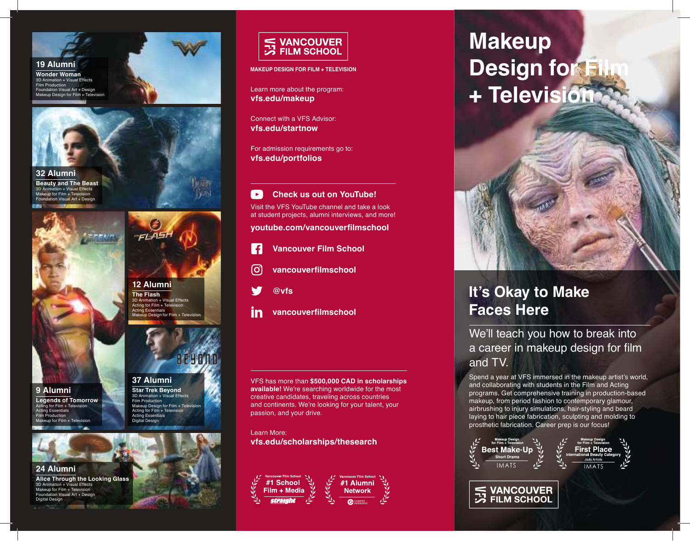

**19 Alumni**

**Wonder Woman** 3D Animation + Visual Effects Film Production Foundation Visual Art + Design Makeup Design for Film + Television



l'invitto  $\Gamma$ 

**Beauty and The Beast**<br>3D Animation + Visual Effects  $\frac{3}{2}$  - Visual Effects Makeup for Film + Television Foundation Visual Art + Design





**24 Alumni**

ion + Visual Effects Makeup for Film + Television Foundation Visual Art + Design Digital Design





#### **37 Alumni**

**Star Trek Beyond** 3D Animation + Visual Effects Film Production Makeup Design for Film + Television Acting for Film + Television Acting Essentials Digital Design





**MAKEUP DESIGN FOR FILM + TELEVISION**

Learn more about the program: **vfs.edu/makeup**

Connect with a VFS Advisor: **vfs.edu/startnow**

For admission requirements go to: **vfs.edu/portfolios**

 $\rightarrow$ **Check us out on YouTube!** Visit the VFS YouTube channel and take a look at student projects, alumni interviews, and more!

**youtube.com/vancouverfilmschool**

- **Vancouver Film School** f
- (ဝ **vancouverfilmschool**
- **@vfs**
- in **vancouverfilmschool**

VFS has more than **\$500,000 CAD in scholarships available!** We're searching worldwide for the most creative candidates, traveling across countries and continents. We're looking for your talent, your passion, and your drive.

Learn More: **vfs.edu/scholarships/thesearch**



# **Makeup Design for Fi + Television**



## **It's Okay to Make Faces Here**

### We'll teach you how to break into a career in makeup design for film and TV.

Spend a year at VFS immersed in the makeup artist's world, and collaborating with students in the Film and Acting programs. Get comprehensive training in production-based makeup, from period fashion to contemporary glamour, airbrushing to injury simulations, hair-styling and beard laying to hair piece fabrication, sculpting and molding to prosthetic fabrication. Career prep is our focus!